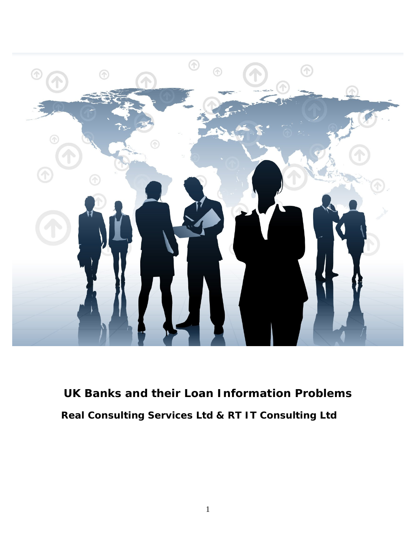

**UK Banks and their Loan Information Problems Real Consulting Services Ltd & RT IT Consulting Ltd**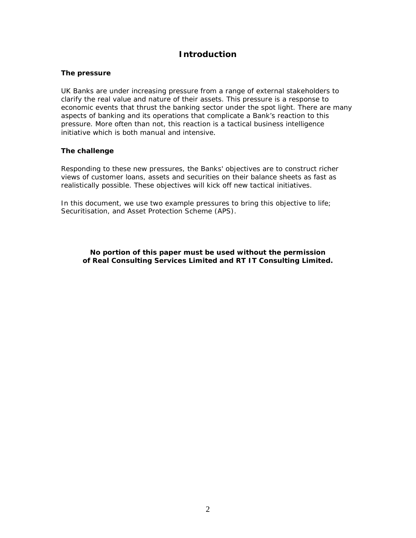## **Introduction**

#### **The pressure**

UK Banks are under increasing pressure from a range of external stakeholders to clarify the real value and nature of their assets. This pressure is a response to economic events that thrust the banking sector under the spot light. There are many aspects of banking and its operations that complicate a Bank's reaction to this pressure. More often than not, this reaction is a tactical business intelligence initiative which is both manual and intensive.

#### **The challenge**

Responding to these new pressures, the Banks' objectives are to construct richer views of customer loans, assets and securities on their balance sheets as fast as realistically possible. These objectives will kick off new tactical initiatives.

In this document, we use two example pressures to bring this objective to life; Securitisation, and Asset Protection Scheme (APS).

**No portion of this paper must be used without the permission of Real Consulting Services Limited and RT IT Consulting Limited.**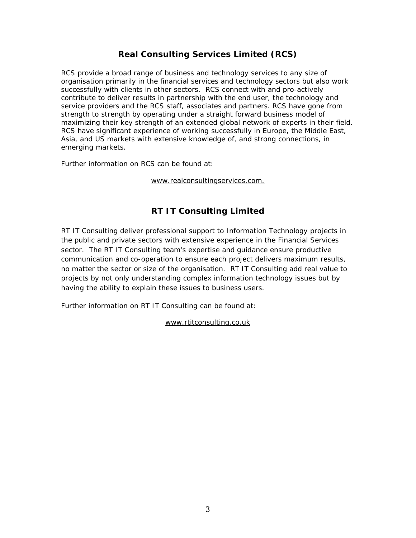# **Real Consulting Services Limited (RCS)**

RCS provide a broad range of business and technology services to any size of organisation primarily in the financial services and technology sectors but also work successfully with clients in other sectors. RCS connect with and pro-actively contribute to deliver results in partnership with the end user, the technology and service providers and the RCS staff, associates and partners. RCS have gone from strength to strength by operating under a straight forward business model of maximizing their key strength of an extended global network of experts in their field. RCS have significant experience of working successfully in Europe, the Middle East, Asia, and US markets with extensive knowledge of, and strong connections, in emerging markets.

Further information on RCS can be found at:

## www.realconsultingservices.com.

# **RT IT Consulting Limited**

RT IT Consulting deliver professional support to Information Technology projects in the public and private sectors with extensive experience in the Financial Services sector. The RT IT Consulting team's expertise and guidance ensure productive communication and co-operation to ensure each project delivers maximum results, no matter the sector or size of the organisation. RT IT Consulting add real value to projects by not only understanding complex information technology issues but by having the ability to explain these issues to business users.

Further information on RT IT Consulting can be found at:

## www.rtitconsulting.co.uk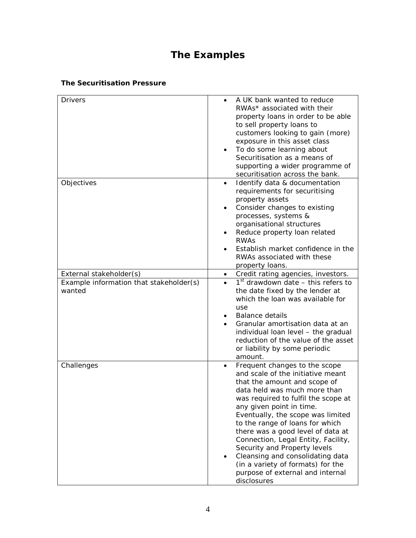# **The Examples**

## **The Securitisation Pressure**

| <b>Drivers</b><br>A UK bank wanted to reduce                                                 |  |
|----------------------------------------------------------------------------------------------|--|
| RWAs* associated with their                                                                  |  |
| property loans in order to be able                                                           |  |
| to sell property loans to                                                                    |  |
| customers looking to gain (more)                                                             |  |
| exposure in this asset class                                                                 |  |
| To do some learning about                                                                    |  |
| Securitisation as a means of                                                                 |  |
| supporting a wider programme of                                                              |  |
| securitisation across the bank.                                                              |  |
| Objectives<br>Identify data & documentation                                                  |  |
| requirements for securitising                                                                |  |
| property assets                                                                              |  |
|                                                                                              |  |
| Consider changes to existing                                                                 |  |
| processes, systems &                                                                         |  |
| organisational structures                                                                    |  |
| Reduce property loan related                                                                 |  |
| <b>RWAS</b>                                                                                  |  |
| Establish market confidence in the                                                           |  |
| RWAs associated with these                                                                   |  |
| property loans.                                                                              |  |
| Credit rating agencies, investors.<br>External stakeholder(s)                                |  |
| $1st$ drawdown date – this refers to<br>Example information that stakeholder(s)<br>$\bullet$ |  |
| wanted<br>the date fixed by the lender at                                                    |  |
| which the loan was available for                                                             |  |
| use                                                                                          |  |
| <b>Balance details</b>                                                                       |  |
| Granular amortisation data at an                                                             |  |
| individual loan level - the gradual                                                          |  |
| reduction of the value of the asset                                                          |  |
| or liability by some periodic                                                                |  |
| amount.                                                                                      |  |
| Challenges<br>Frequent changes to the scope                                                  |  |
| and scale of the initiative meant                                                            |  |
|                                                                                              |  |
| that the amount and scope of                                                                 |  |
| data held was much more than                                                                 |  |
| was required to fulfil the scope at                                                          |  |
| any given point in time.                                                                     |  |
| Eventually, the scope was limited                                                            |  |
| to the range of loans for which                                                              |  |
| there was a good level of data at                                                            |  |
| Connection, Legal Entity, Facility,                                                          |  |
| Security and Property levels                                                                 |  |
| Cleansing and consolidating data                                                             |  |
| (in a variety of formats) for the                                                            |  |
| purpose of external and internal                                                             |  |
|                                                                                              |  |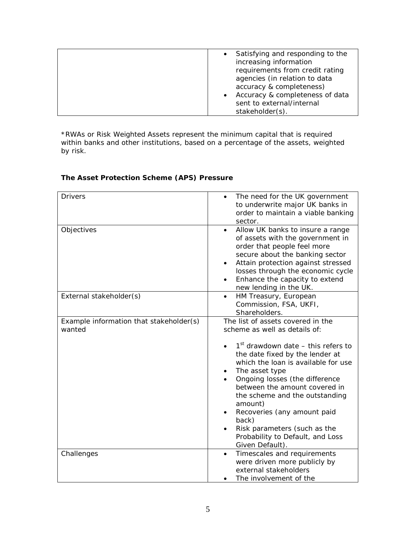| Satisfying and responding to the             |
|----------------------------------------------|
| increasing information                       |
| requirements from credit rating              |
| agencies (in relation to data                |
| accuracy & completeness)                     |
| Accuracy & completeness of data<br>$\bullet$ |
| sent to external/internal                    |
| stakeholder(s).                              |

\*RWAs or Risk Weighted Assets represent the minimum capital that is required within banks and other institutions, based on a percentage of the assets, weighted by risk.

**The Asset Protection Scheme (APS) Pressure**

| <b>Drivers</b>                                    | The need for the UK government<br>to underwrite major UK banks in<br>order to maintain a viable banking                                                                                                                                                                                                                                                                                                                                               |
|---------------------------------------------------|-------------------------------------------------------------------------------------------------------------------------------------------------------------------------------------------------------------------------------------------------------------------------------------------------------------------------------------------------------------------------------------------------------------------------------------------------------|
| Objectives                                        | sector.<br>Allow UK banks to insure a range<br>$\bullet$<br>of assets with the government in<br>order that people feel more<br>secure about the banking sector<br>Attain protection against stressed<br>$\bullet$<br>losses through the economic cycle<br>Enhance the capacity to extend<br>new lending in the UK.                                                                                                                                    |
| External stakeholder(s)                           | HM Treasury, European<br>$\bullet$<br>Commission, FSA, UKFI,<br>Shareholders.                                                                                                                                                                                                                                                                                                                                                                         |
| Example information that stakeholder(s)<br>wanted | The list of assets covered in the<br>scheme as well as details of:<br>$1st$ drawdown date – this refers to<br>the date fixed by the lender at<br>which the loan is available for use<br>The asset type<br>Ongoing losses (the difference<br>between the amount covered in<br>the scheme and the outstanding<br>amount)<br>Recoveries (any amount paid<br>back)<br>Risk parameters (such as the<br>Probability to Default, and Loss<br>Given Default). |
| Challenges                                        | Timescales and requirements<br>were driven more publicly by<br>external stakeholders<br>The involvement of the                                                                                                                                                                                                                                                                                                                                        |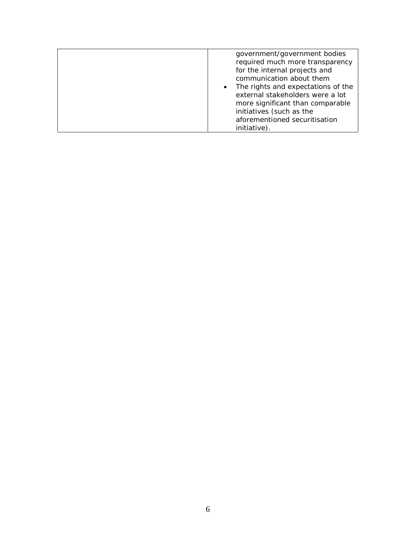|  | government/government bodies<br>required much more transparency<br>for the internal projects and<br>communication about them<br>The rights and expectations of the<br>$\bullet$<br>external stakeholders were a lot<br>more significant than comparable<br>initiatives (such as the<br>aforementioned securitisation<br>initiative). |
|--|--------------------------------------------------------------------------------------------------------------------------------------------------------------------------------------------------------------------------------------------------------------------------------------------------------------------------------------|
|--|--------------------------------------------------------------------------------------------------------------------------------------------------------------------------------------------------------------------------------------------------------------------------------------------------------------------------------------|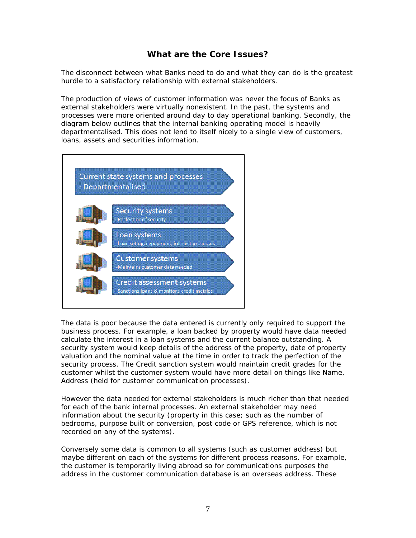## **What are the Core Issues?**

The disconnect between what Banks need to do and what they can do is the greatest hurdle to a satisfactory relationship with external stakeholders.

The production of views of customer information was never the focus of Banks as external stakeholders were virtually nonexistent. In the past, the systems and processes were more oriented around day to day operational banking. Secondly, the diagram below outlines that the internal banking operating model is heavily departmentalised. This does not lend to itself nicely to a single view of customers, loans, assets and securities information.



The data is poor because the data entered is currently only required to support the business process. For example, a loan backed by property would have data needed calculate the interest in a loan systems and the current balance outstanding. A security system would keep details of the address of the property, date of property valuation and the nominal value at the time in order to track the perfection of the security process. The Credit sanction system would maintain credit grades for the customer whilst the customer system would have more detail on things like Name, Address (held for customer communication processes).

However the data needed for external stakeholders is much richer than that needed for each of the bank internal processes. An external stakeholder may need information about the security (property in this case; such as the number of bedrooms, purpose built or conversion, post code or GPS reference, which is not recorded on any of the systems).

Conversely some data is common to all systems (such as customer address) but maybe different on each of the systems for different process reasons. For example, the customer is temporarily living abroad so for communications purposes the address in the customer communication database is an overseas address. These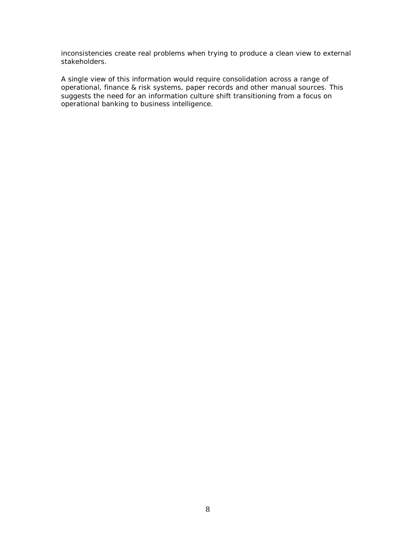inconsistencies create real problems when trying to produce a clean view to external stakeholders.

A single view of this information would require consolidation across a range of operational, finance & risk systems, paper records and other manual sources. This suggests the need for an information culture shift transitioning from a focus on operational banking to business intelligence.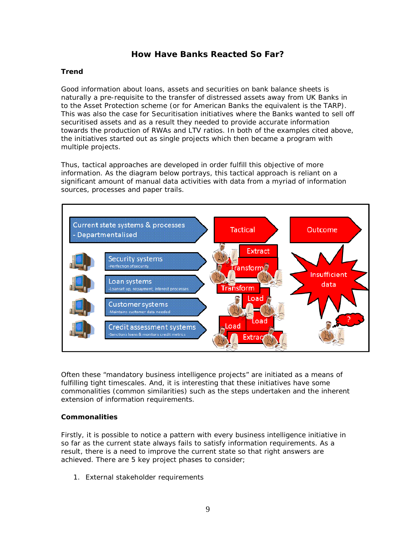## **How Have Banks Reacted So Far?**

## **Trend**

Good information about loans, assets and securities on bank balance sheets is naturally a pre-requisite to the transfer of distressed assets away from UK Banks in to the Asset Protection scheme (or for American Banks the equivalent is the TARP). This was also the case for Securitisation initiatives where the Banks wanted to sell off securitised assets and as a result they needed to provide accurate information towards the production of RWAs and LTV ratios. In both of the examples cited above, the initiatives started out as single projects which then became a program with multiple projects.

Thus, tactical approaches are developed in order fulfill this objective of more information. As the diagram below portrays, this tactical approach is reliant on a significant amount of manual data activities with data from a myriad of information sources, processes and paper trails.



Often these "mandatory business intelligence projects" are initiated as a means of fulfilling tight timescales. And, it is interesting that these initiatives have some commonalities (common similarities) such as the steps undertaken and the inherent extension of information requirements.

## **Commonalities**

Firstly, it is possible to notice a pattern with every business intelligence initiative in so far as the current state always fails to satisfy information requirements. As a result, there is a need to improve the current state so that right answers are achieved. There are 5 key project phases to consider;

1. External stakeholder requirements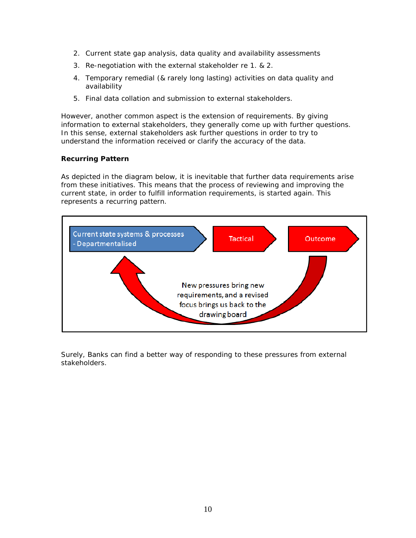- 2. Current state gap analysis, data quality and availability assessments
- 3. Re-negotiation with the external stakeholder re 1. & 2.
- 4. Temporary remedial (& rarely long lasting) activities on data quality and availability
- 5. Final data collation and submission to external stakeholders.

However, another common aspect is the extension of requirements. By giving information to external stakeholders, they generally come up with further questions. In this sense, external stakeholders ask further questions in order to try to understand the information received or clarify the accuracy of the data.

#### **Recurring Pattern**

As depicted in the diagram below, it is inevitable that further data requirements arise from these initiatives. This means that the process of reviewing and improving the current state, in order to fulfill information requirements, is started again. This represents a recurring pattern.



Surely, Banks can find a better way of responding to these pressures from external stakeholders.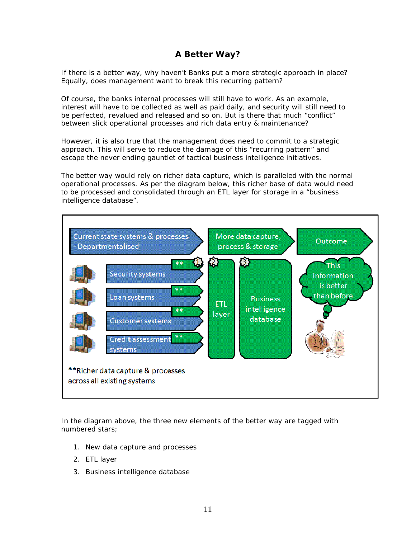# **A Better Way?**

If there is a better way, why haven't Banks put a more strategic approach in place? Equally, does management want to break this recurring pattern?

Of course, the banks internal processes will still have to work. As an example, interest will have to be collected as well as paid daily, and security will still need to be perfected, revalued and released and so on. But is there that much "conflict" between slick operational processes and rich data entry & maintenance?

However, it is also true that the management does need to commit to a strategic approach. This will serve to reduce the damage of this "recurring pattern" and escape the never ending gauntlet of tactical business intelligence initiatives.

The better way would rely on richer data capture, which is paralleled with the normal operational processes. As per the diagram below, this richer base of data would need to be processed and consolidated through an ETL layer for storage in a "business intelligence database".



In the diagram above, the three new elements of the better way are tagged with numbered stars;

- 1. New data capture and processes
- 2. ETL layer
- 3. Business intelligence database